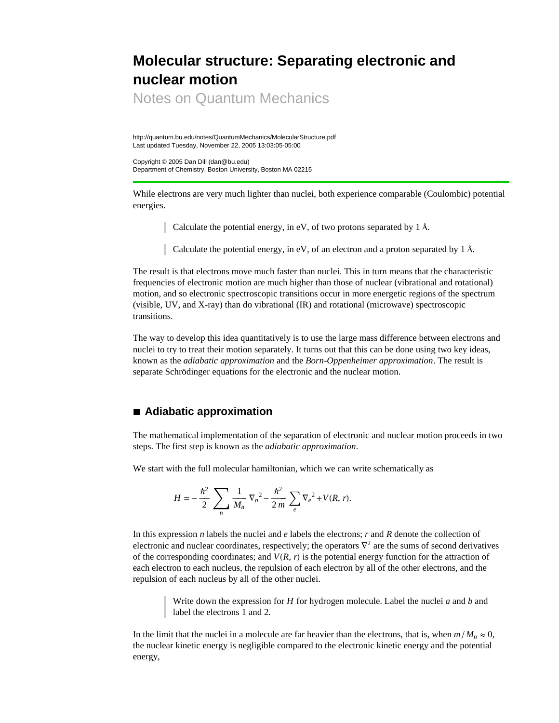## **Molecular structure: Separating electronic and nuclear motion**

Notes on Quantum Mechanics

http://quantum.bu.edu/notes/QuantumMechanics/MolecularStructure.pdf Last updated Tuesday, November 22, 2005 13:03:05-05:00

Copyright © 2005 Dan Dill (dan@bu.edu) Department of Chemistry, Boston University, Boston MA 02215

While electrons are very much lighter than nuclei, both experience comparable (Coulombic) potential energies.

Calculate the potential energy, in eV, of two protons separated by 1 Å.

Calculate the potential energy, in eV, of an electron and a proton separated by 1 Å.

The result is that electrons move much faster than nuclei. This in turn means that the characteristic frequencies of electronic motion are much higher than those of nuclear (vibrational and rotational) motion, and so electronic spectroscopic transitions occur in more energetic regions of the spectrum (visible, UV, and X-ray) than do vibrational (IR) and rotational (microwave) spectroscopic transitions.

The way to develop this idea quantitatively is to use the large mass difference between electrons and nuclei to try to treat their motion separately. It turns out that this can be done using two key ideas, known as the *adiabatic approximation* and the *Born-Oppenheimer approximation*. The result is separate Schrödinger equations for the electronic and the nuclear motion.

## **à Adiabatic approximation**

The mathematical implementation of the separation of electronic and nuclear motion proceeds in two steps. The first step is known as the *adiabatic approximation*.

We start with the full molecular hamiltonian, which we can write schematically as

$$
H = -\frac{\hbar^2}{2} \sum_{n} \frac{1}{M_n} \nabla_n^2 - \frac{\hbar^2}{2m} \sum_{e} \nabla_e^2 + V(R, r).
$$

In this expression *n* labels the nuclei and *e* labels the electrons; *r* and *R* denote the collection of electronic and nuclear coordinates, respectively; the operators  $\nabla^2$  are the sums of second derivatives of the corresponding coordinates; and  $V(R, r)$  is the potential energy function for the attraction of each electron to each nucleus, the repulsion of each electron by all of the other electrons, and the repulsion of each nucleus by all of the other nuclei.

> Write down the expression for *H* for hydrogen molecule. Label the nuclei *a* and *b* and label the electrons 1 and 2.

In the limit that the nuclei in a molecule are far heavier than the electrons, that is, when  $m/M_n \approx 0$ , the nuclear kinetic energy is negligible compared to the electronic kinetic energy and the potential energy,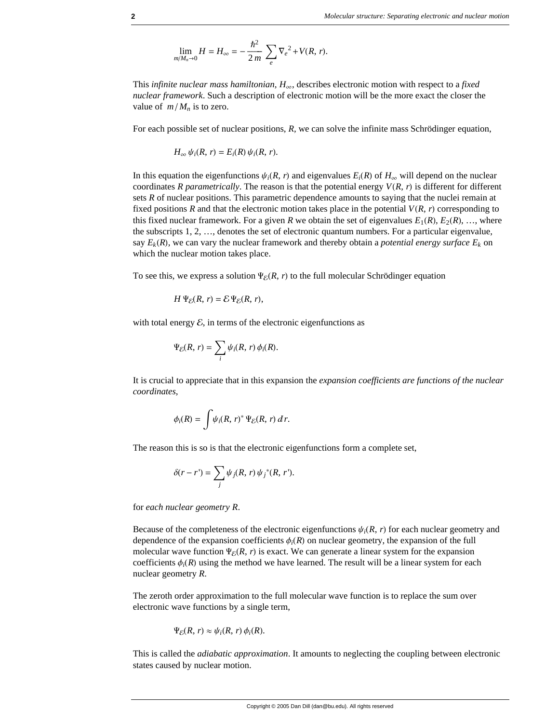$$
\lim_{m/M_n \to 0} H = H_{\infty} = -\frac{\hbar^2}{2m} \sum_{e} \nabla_e^2 + V(R, r).
$$

This *infinite nuclear mass hamiltonian*,  $H_{\infty}$ , describes electronic motion with respect to a *fixed nuclear framework*. Such a description of electronic motion will be the more exact the closer the value of  $m/M_n$  is to zero.

For each possible set of nuclear positions, *R,* we can solve the infinite mass Schrödinger equation,

$$
H_{\infty} \psi_i(R, r) = E_i(R) \psi_i(R, r).
$$

In this equation the eigenfunctions  $\psi_i(R, r)$  and eigenvalues  $E_i(R)$  of  $H_\infty$  will depend on the nuclear coordinates *R parametrically*. The reason is that the potential energy  $V(R, r)$  is different for different sets *R* of nuclear positions. This parametric dependence amounts to saying that the nuclei remain at fixed positions *R* and that the electronic motion takes place in the potential  $V(R, r)$  corresponding to this fixed nuclear framework. For a given *R* we obtain the set of eigenvalues  $E_1(R)$ ,  $E_2(R)$ , ..., where the subscripts 1, 2, …, denotes the set of electronic quantum numbers. For a particular eigenvalue, say  $E_k(R)$ , we can vary the nuclear framework and thereby obtain a *potential energy surface*  $E_k$  on which the nuclear motion takes place.

To see this, we express a solution  $\Psi_{\mathcal{E}}(R, r)$  to the full molecular Schrödinger equation

$$
H \Psi_{\mathcal{E}}(R, r) = \mathcal{E} \Psi_{\mathcal{E}}(R, r),
$$

with total energy  $\mathcal E$ , in terms of the electronic eigenfunctions as

$$
\Psi_{\mathcal{E}}(R,\,r)=\sum_i\psi_i(R,\,r)\,\phi_i(R).
$$

It is crucial to appreciate that in this expansion the *expansion coefficients are functions of the nuclear coordinates*,

$$
\phi_i(R) = \int \psi_i(R, r)^* \Psi_{\mathcal{E}}(R, r) dr.
$$

The reason this is so is that the electronic eigenfunctions form a complete set,

$$
\delta(r-r') = \sum_j \psi_j(R,r) \psi_j^*(R,r').
$$

for *each nuclear geometry R*.

Because of the completeness of the electronic eigenfunctions  $\psi_i(R, r)$  for each nuclear geometry and dependence of the expansion coefficients  $\phi_i(R)$  on nuclear geometry, the expansion of the full molecular wave function  $\Psi_{\mathcal{E}}(R, r)$  is exact. We can generate a linear system for the expansion coefficients  $\phi_i(R)$  using the method we have learned. The result will be a linear system for each nuclear geometry *R*.

The zeroth order approximation to the full molecular wave function is to replace the sum over electronic wave functions by a single term,

$$
\Psi_{\mathcal{E}}(R,\,r)\approx\psi_i(R,\,r)\,\phi_i(R).
$$

This is called the *adiabatic approximation*. It amounts to neglecting the coupling between electronic states caused by nuclear motion.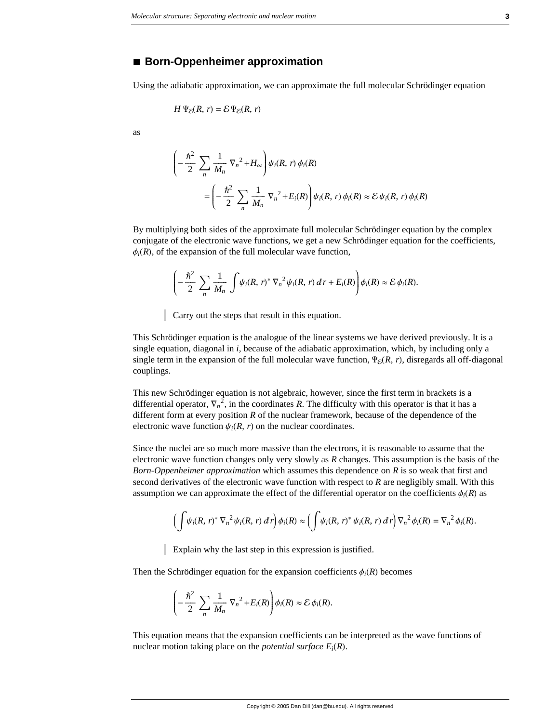## **à Born-Oppenheimer approximation**

Using the adiabatic approximation, we can approximate the full molecular Schrödinger equation

$$
H \Psi_{\mathcal{E}}(R, r) = \mathcal{E} \Psi_{\mathcal{E}}(R, r)
$$

as

$$
\left(-\frac{\hbar^2}{2}\sum_{n}\frac{1}{M_n}\nabla_n^2 + H_\infty\right)\psi_i(R,\ r)\,\phi_i(R)
$$
\n
$$
=\left(-\frac{\hbar^2}{2}\sum_{n}\frac{1}{M_n}\nabla_n^2 + E_i(R)\right)\psi_i(R,\ r)\,\phi_i(R)\approx\mathcal{E}\,\psi_i(R,\ r)\,\phi_i(R)
$$

By multiplying both sides of the approximate full molecular Schrödinger equation by the complex conjugate of the electronic wave functions, we get a new Schrödinger equation for the coefficients,  $\phi_i(R)$ , of the expansion of the full molecular wave function,

$$
\left(-\frac{\hbar^2}{2}\sum_n\frac{1}{M_n}\int\psi_i(R,\,r)^*\,\nabla_n^2\psi_i(R,\,r)\,dr+E_i(R)\right)\phi_i(R)\approx\mathcal{E}\,\phi_i(R).
$$

Carry out the steps that result in this equation.

This Schrödinger equation is the analogue of the linear systems we have derived previously. It is a single equation, diagonal in *i*, because of the adiabatic approximation, which, by including only a single term in the expansion of the full molecular wave function,  $\Psi_{\mathcal{E}}(R, r)$ , disregards all off-diagonal couplings.

This new Schrödinger equation is not algebraic, however, since the first term in brackets is a differential operator,  $\nabla_n^2$ , in the coordinates R. The difficulty with this operator is that it has a different form at every position *R* of the nuclear framework, because of the dependence of the electronic wave function  $\psi_i(R, r)$  on the nuclear coordinates.

Since the nuclei are so much more massive than the electrons, it is reasonable to assume that the electronic wave function changes only very slowly as *R* changes. This assumption is the basis of the *Born-Oppenheimer approximation* which assumes this dependence on *R* is so weak that first and second derivatives of the electronic wave function with respect to *R* are negligibly small. With this assumption we can approximate the effect of the differential operator on the coefficients  $\phi_i(R)$  as

$$
\left(\int \psi_i(R,\,r)^* \,\nabla_n^{-2}\psi_i(R,\,r)\,dr\right)\phi_i(R)\approx \left(\int \psi_i(R,\,r)^*\,\psi_i(R,\,r)\,dr\right)\nabla_n^{-2}\phi_i(R)=\nabla_n^{-2}\phi_i(R).
$$

Explain why the last step in this expression is justified.

Then the Schrödinger equation for the expansion coefficients  $\phi_i(R)$  becomes

$$
\left(-\frac{\hbar^2}{2}\sum_n\frac{1}{M_n}\nabla_n^2+E_i(R)\right)\phi_i(R)\approx\mathcal{E}\,\phi_i(R).
$$

This equation means that the expansion coefficients can be interpreted as the wave functions of nuclear motion taking place on the *potential surface*  $E_i(R)$ .